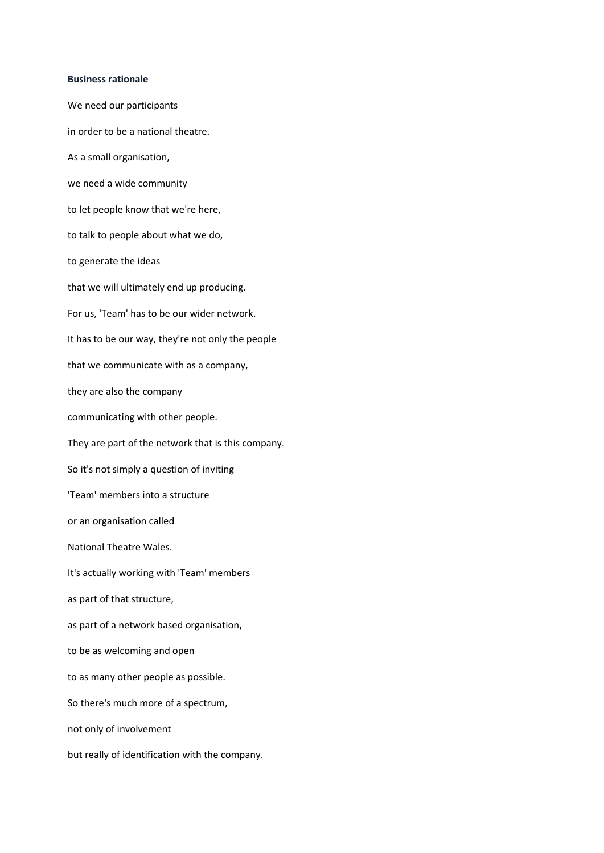## **[Business rationale](https://vimeo.com/124319890)**

We need our participants in order to be a national theatre. As a small organisation, we need a wide community to let people know that we're here, to talk to people about what we do, to generate the ideas that we will ultimately end up producing. For us, 'Team' has to be our wider network. It has to be our way, they're not only the people that we communicate with as a company, they are also the company communicating with other people. They are part of the network that is this company. So it's not simply a question of inviting 'Team' members into a structure or an organisation called National Theatre Wales. It's actually working with 'Team' members as part of that structure, as part of a network based organisation, to be as welcoming and open to as many other people as possible. So there's much more of a spectrum, not only of involvement but really of identification with the company.